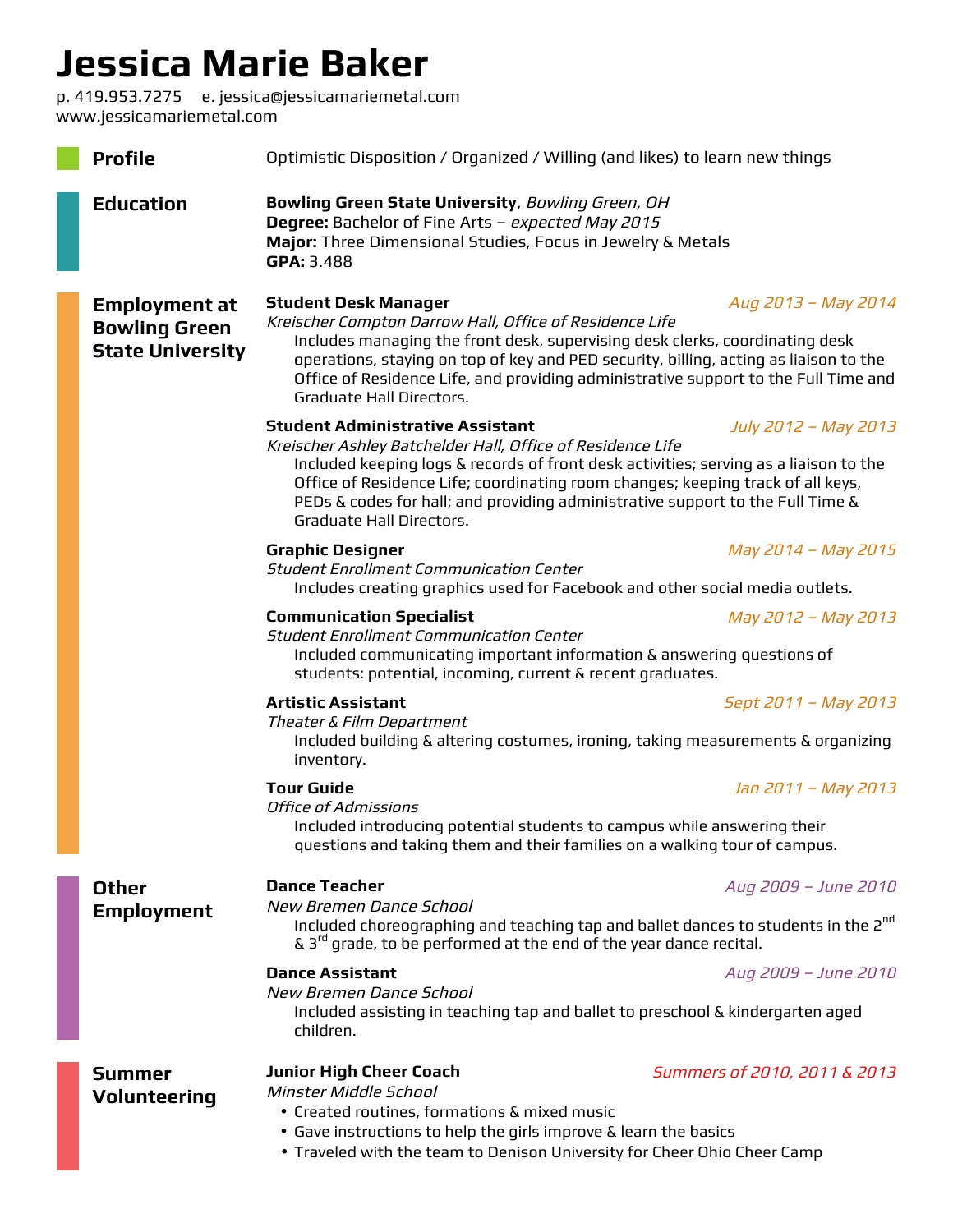## **Jessica Marie Baker**

p. 419.953.7275 e. jessica@jessicamariemetal.com www.jessicamariemetal.com

| <b>Profile</b>                                                          | Optimistic Disposition / Organized / Willing (and likes) to learn new things                                                                                                                                                                                                                                                                                                       |                                                                                                                                                                                                                                                                                    |  |  |
|-------------------------------------------------------------------------|------------------------------------------------------------------------------------------------------------------------------------------------------------------------------------------------------------------------------------------------------------------------------------------------------------------------------------------------------------------------------------|------------------------------------------------------------------------------------------------------------------------------------------------------------------------------------------------------------------------------------------------------------------------------------|--|--|
| <b>Education</b>                                                        | Bowling Green State University, Bowling Green, OH<br>Degree: Bachelor of Fine Arts - expected May 2015<br>Major: Three Dimensional Studies, Focus in Jewelry & Metals<br>GPA: 3.488                                                                                                                                                                                                |                                                                                                                                                                                                                                                                                    |  |  |
| <b>Employment at</b><br><b>Bowling Green</b><br><b>State University</b> | <b>Student Desk Manager</b><br>Kreischer Compton Darrow Hall, Office of Residence Life<br>Includes managing the front desk, supervising desk clerks, coordinating desk<br>operations, staying on top of key and PED security, billing, acting as liaison to the<br>Office of Residence Life, and providing administrative support to the Full Time and<br>Graduate Hall Directors. | Aug 2013 - May 2014                                                                                                                                                                                                                                                                |  |  |
|                                                                         | <b>Student Administrative Assistant</b><br>Kreischer Ashley Batchelder Hall, Office of Residence Life<br>Graduate Hall Directors.                                                                                                                                                                                                                                                  | July 2012 - May 2013<br>Included keeping logs & records of front desk activities; serving as a liaison to the<br>Office of Residence Life; coordinating room changes; keeping track of all keys,<br>PEDs & codes for hall; and providing administrative support to the Full Time & |  |  |
|                                                                         | <b>Graphic Designer</b><br><b>Student Enrollment Communication Center</b><br>Includes creating graphics used for Facebook and other social media outlets.                                                                                                                                                                                                                          | May 2014 - May 2015                                                                                                                                                                                                                                                                |  |  |
|                                                                         | <b>Communication Specialist</b><br><b>Student Enrollment Communication Center</b><br>Included communicating important information & answering questions of<br>students: potential, incoming, current & recent graduates.                                                                                                                                                           | May 2012 - May 2013                                                                                                                                                                                                                                                                |  |  |
|                                                                         | <b>Artistic Assistant</b><br>Theater & Film Department<br>Included building & altering costumes, ironing, taking measurements & organizing<br>inventory.                                                                                                                                                                                                                           | Sept 2011 - May 2013                                                                                                                                                                                                                                                               |  |  |
|                                                                         | <b>Tour Guide</b><br><b>Office of Admissions</b><br>Included introducing potential students to campus while answering their<br>questions and taking them and their families on a walking tour of campus.                                                                                                                                                                           | Jan 2011 - May 2013                                                                                                                                                                                                                                                                |  |  |
| <b>Other</b><br><b>Employment</b>                                       | <b>Dance Teacher</b><br>New Bremen Dance School<br>Included choreographing and teaching tap and ballet dances to students in the 2 <sup>nd</sup><br>$\delta$ 3 <sup>rd</sup> grade, to be performed at the end of the year dance recital.                                                                                                                                          | Aug 2009 - June 2010                                                                                                                                                                                                                                                               |  |  |
|                                                                         | <b>Dance Assistant</b><br>New Bremen Dance School<br>Included assisting in teaching tap and ballet to preschool & kindergarten aged<br>children.                                                                                                                                                                                                                                   | Aug 2009 - June 2010                                                                                                                                                                                                                                                               |  |  |
| <b>Summer</b><br><b>Volunteering</b>                                    | <b>Junior High Cheer Coach</b><br>Minster Middle School<br>• Created routines, formations & mixed music<br>• Gave instructions to help the girls improve & learn the basics<br>. Traveled with the team to Denison University for Cheer Ohio Cheer Camp                                                                                                                            | Summers of 2010, 2011 & 2013                                                                                                                                                                                                                                                       |  |  |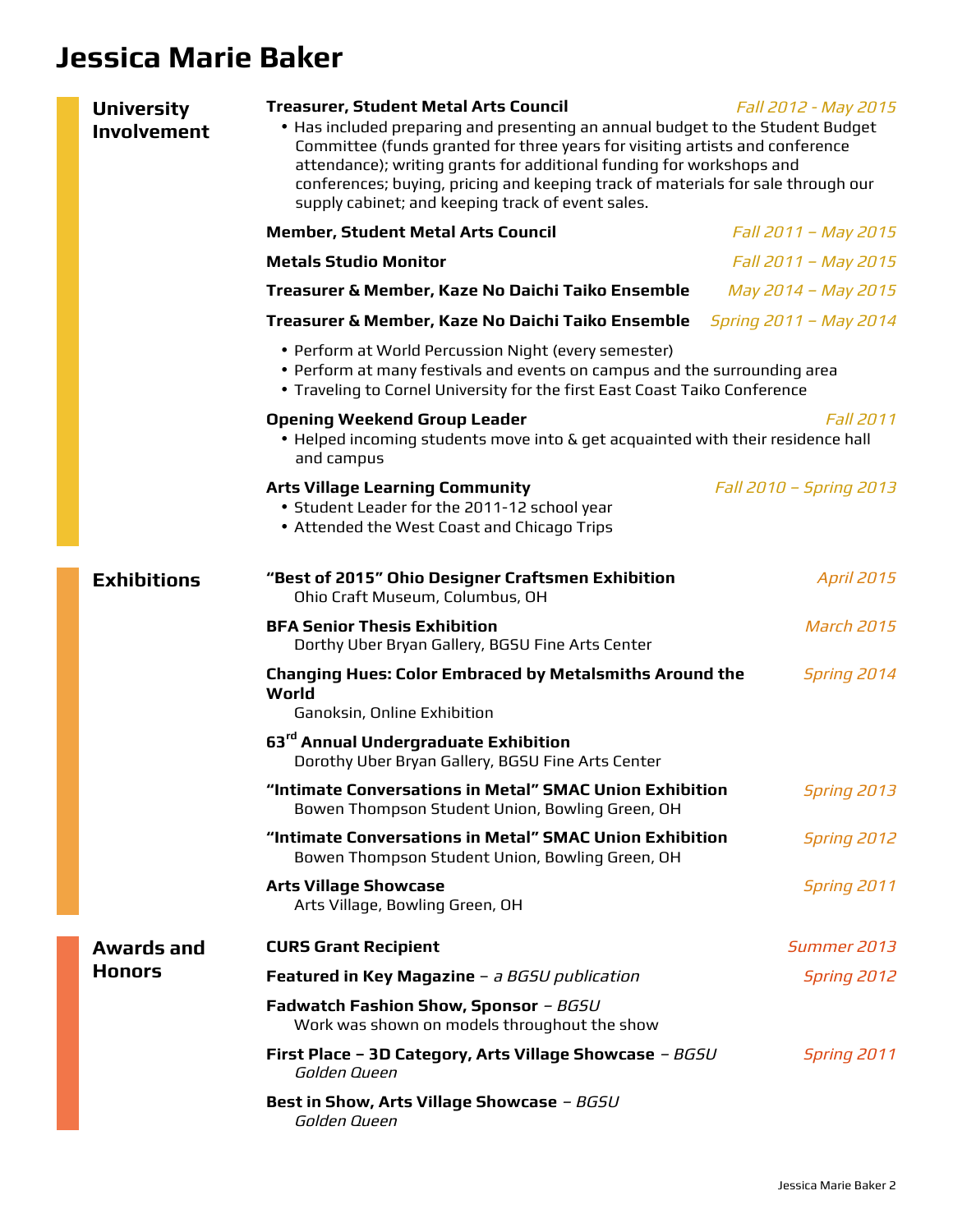## **Jessica Marie Baker**

| <b>University</b><br><b>Involvement</b> | <b>Treasurer, Student Metal Arts Council</b><br>Fall 2012 - May 2015<br>• Has included preparing and presenting an annual budget to the Student Budget<br>Committee (funds granted for three years for visiting artists and conference<br>attendance); writing grants for additional funding for workshops and<br>conferences; buying, pricing and keeping track of materials for sale through our<br>supply cabinet; and keeping track of event sales. |                         |  |
|-----------------------------------------|---------------------------------------------------------------------------------------------------------------------------------------------------------------------------------------------------------------------------------------------------------------------------------------------------------------------------------------------------------------------------------------------------------------------------------------------------------|-------------------------|--|
|                                         | <b>Member, Student Metal Arts Council</b>                                                                                                                                                                                                                                                                                                                                                                                                               | Fall 2011 - May 2015    |  |
|                                         | <b>Metals Studio Monitor</b>                                                                                                                                                                                                                                                                                                                                                                                                                            | Fall 2011 - May 2015    |  |
|                                         | Treasurer & Member, Kaze No Daichi Taiko Ensemble                                                                                                                                                                                                                                                                                                                                                                                                       | May 2014 - May 2015     |  |
|                                         | Treasurer & Member, Kaze No Daichi Taiko Ensemble                                                                                                                                                                                                                                                                                                                                                                                                       | Spring 2011 - May 2014  |  |
|                                         | • Perform at World Percussion Night (every semester)<br>• Perform at many festivals and events on campus and the surrounding area<br>. Traveling to Cornel University for the first East Coast Taiko Conference                                                                                                                                                                                                                                         |                         |  |
|                                         | <b>Opening Weekend Group Leader</b><br>. Helped incoming students move into & get acquainted with their residence hall<br>and campus                                                                                                                                                                                                                                                                                                                    | <b>Fall 2011</b>        |  |
|                                         | <b>Arts Village Learning Community</b><br>• Student Leader for the 2011-12 school year<br>• Attended the West Coast and Chicago Trips                                                                                                                                                                                                                                                                                                                   | Fall 2010 - Spring 2013 |  |
| <b>Exhibitions</b>                      | "Best of 2015" Ohio Designer Craftsmen Exhibition<br>Ohio Craft Museum, Columbus, OH                                                                                                                                                                                                                                                                                                                                                                    | <b>April 2015</b>       |  |
|                                         | <b>BFA Senior Thesis Exhibition</b><br>Dorthy Uber Bryan Gallery, BGSU Fine Arts Center                                                                                                                                                                                                                                                                                                                                                                 | <b>March 2015</b>       |  |
|                                         | <b>Changing Hues: Color Embraced by Metalsmiths Around the</b><br>World<br>Ganoksin, Online Exhibition                                                                                                                                                                                                                                                                                                                                                  | <b>Spring 2014</b>      |  |
|                                         | 63 <sup>rd</sup> Annual Undergraduate Exhibition<br>Dorothy Uber Bryan Gallery, BGSU Fine Arts Center                                                                                                                                                                                                                                                                                                                                                   |                         |  |
|                                         | "Intimate Conversations in Metal" SMAC Union Exhibition<br>Bowen Thompson Student Union, Bowling Green, OH                                                                                                                                                                                                                                                                                                                                              | <b>Spring 2013</b>      |  |
|                                         | "Intimate Conversations in Metal" SMAC Union Exhibition<br>Bowen Thompson Student Union, Bowling Green, OH                                                                                                                                                                                                                                                                                                                                              | <b>Spring 2012</b>      |  |
|                                         | <b>Arts Village Showcase</b><br>Arts Village, Bowling Green, OH                                                                                                                                                                                                                                                                                                                                                                                         | <b>Spring 2011</b>      |  |
| <b>Awards and</b>                       | <b>CURS Grant Recipient</b>                                                                                                                                                                                                                                                                                                                                                                                                                             | Summer 2013             |  |
| <b>Honors</b>                           | Featured in Key Magazine - a BGSU publication                                                                                                                                                                                                                                                                                                                                                                                                           | Spring 2012             |  |
|                                         | <b>Fadwatch Fashion Show, Sponsor - BGSU</b><br>Work was shown on models throughout the show                                                                                                                                                                                                                                                                                                                                                            |                         |  |
|                                         | First Place - 3D Category, Arts Village Showcase - BGSU<br>Golden Queen                                                                                                                                                                                                                                                                                                                                                                                 | <b>Spring 2011</b>      |  |
|                                         | Best in Show, Arts Village Showcase - BGSU<br>Golden Queen                                                                                                                                                                                                                                                                                                                                                                                              |                         |  |